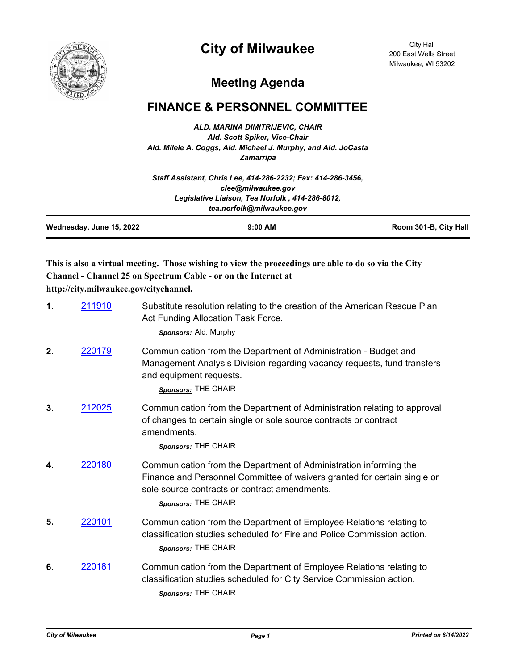## **City of Milwaukee**



City Hall 200 East Wells Street Milwaukee, WI 53202

## **Meeting Agenda**

## **FINANCE & PERSONNEL COMMITTEE**

*ALD. MARINA DIMITRIJEVIC, CHAIR Ald. Scott Spiker, Vice-Chair Ald. Milele A. Coggs, Ald. Michael J. Murphy, and Ald. JoCasta Zamarripa*

|                          | Staff Assistant, Chris Lee, 414-286-2232; Fax: 414-286-3456, |                       |
|--------------------------|--------------------------------------------------------------|-----------------------|
|                          | clee@milwaukee.gov                                           |                       |
|                          | Legislative Liaison, Tea Norfolk, 414-286-8012,              |                       |
|                          | tea.norfolk@milwaukee.gov                                    |                       |
| Wednesday, June 15, 2022 | $9:00$ AM                                                    | Room 301-B, City Hall |

**This is also a virtual meeting. Those wishing to view the proceedings are able to do so via the City Channel - Channel 25 on Spectrum Cable - or on the Internet at** 

**http://city.milwaukee.gov/citychannel.**

| 1. | 211910 | Substitute resolution relating to the creation of the American Rescue Plan<br>Act Funding Allocation Task Force.<br>Sponsors: Ald. Murphy                                                                             |
|----|--------|-----------------------------------------------------------------------------------------------------------------------------------------------------------------------------------------------------------------------|
| 2. | 220179 | Communication from the Department of Administration - Budget and<br>Management Analysis Division regarding vacancy requests, fund transfers<br>and equipment requests.<br>Sponsors: THE CHAIR                         |
| 3. | 212025 | Communication from the Department of Administration relating to approval<br>of changes to certain single or sole source contracts or contract<br>amendments.<br>Sponsors: THE CHAIR                                   |
| 4. | 220180 | Communication from the Department of Administration informing the<br>Finance and Personnel Committee of waivers granted for certain single or<br>sole source contracts or contract amendments.<br>Sponsors: THE CHAIR |
| 5. | 220101 | Communication from the Department of Employee Relations relating to<br>classification studies scheduled for Fire and Police Commission action.<br>Sponsors: THE CHAIR                                                 |
| 6. | 220181 | Communication from the Department of Employee Relations relating to<br>classification studies scheduled for City Service Commission action.<br>Sponsors: THE CHAIR                                                    |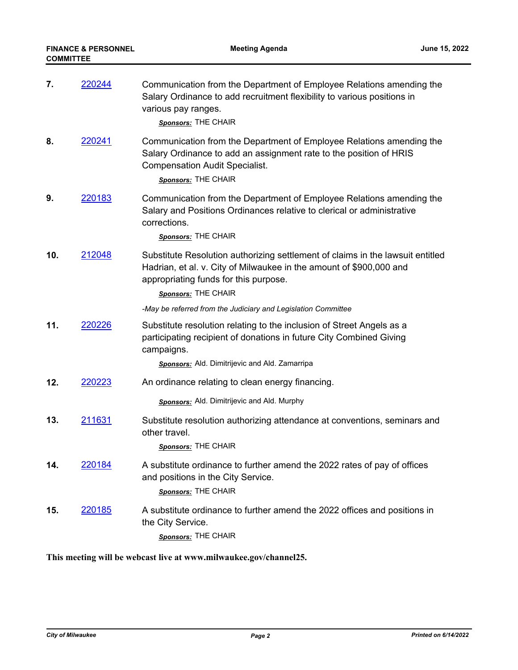| 7.  | 220244         | Communication from the Department of Employee Relations amending the<br>Salary Ordinance to add recruitment flexibility to various positions in<br>various pay ranges.<br>Sponsors: THE CHAIR                         |
|-----|----------------|-----------------------------------------------------------------------------------------------------------------------------------------------------------------------------------------------------------------------|
| 8.  | <u> 220241</u> | Communication from the Department of Employee Relations amending the<br>Salary Ordinance to add an assignment rate to the position of HRIS<br><b>Compensation Audit Specialist.</b><br>Sponsors: THE CHAIR            |
| 9.  | 220183         | Communication from the Department of Employee Relations amending the<br>Salary and Positions Ordinances relative to clerical or administrative<br>corrections.<br>Sponsors: THE CHAIR                                 |
| 10. | 212048         | Substitute Resolution authorizing settlement of claims in the lawsuit entitled<br>Hadrian, et al. v. City of Milwaukee in the amount of \$900,000 and<br>appropriating funds for this purpose.<br>Sponsors: THE CHAIR |
|     |                | -May be referred from the Judiciary and Legislation Committee                                                                                                                                                         |
| 11. | 220226         | Substitute resolution relating to the inclusion of Street Angels as a<br>participating recipient of donations in future City Combined Giving<br>campaigns.                                                            |
|     |                | Sponsors: Ald. Dimitrijevic and Ald. Zamarripa                                                                                                                                                                        |
| 12. | 220223         | An ordinance relating to clean energy financing.                                                                                                                                                                      |
|     |                | Sponsors: Ald. Dimitrijevic and Ald. Murphy                                                                                                                                                                           |
| 13. | 211631         | Substitute resolution authorizing attendance at conventions, seminars and<br>other travel.<br>Sponsors: THE CHAIR                                                                                                     |
| 14. | 220184         | A substitute ordinance to further amend the 2022 rates of pay of offices<br>and positions in the City Service.<br>Sponsors: THE CHAIR                                                                                 |
| 15. | 220185         | A substitute ordinance to further amend the 2022 offices and positions in<br>the City Service.<br>Sponsors: THE CHAIR                                                                                                 |

**This meeting will be webcast live at www.milwaukee.gov/channel25.**